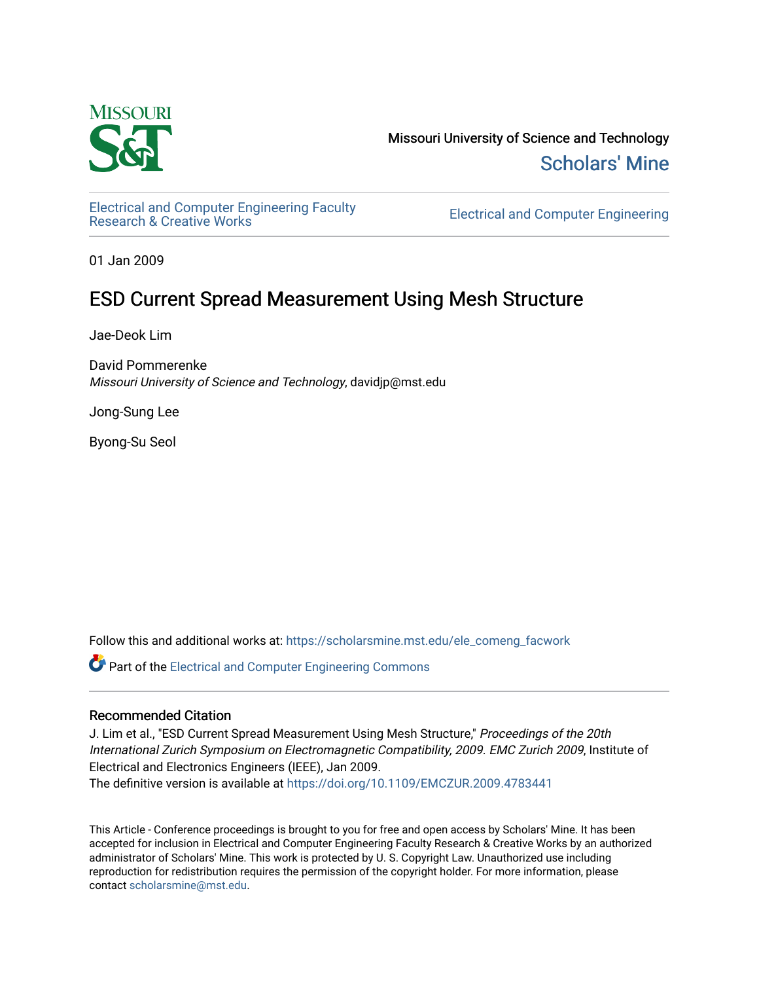

Missouri University of Science and Technology [Scholars' Mine](https://scholarsmine.mst.edu/) 

[Electrical and Computer Engineering Faculty](https://scholarsmine.mst.edu/ele_comeng_facwork)

**Electrical and Computer Engineering** 

01 Jan 2009

# ESD Current Spread Measurement Using Mesh Structure

Jae-Deok Lim

David Pommerenke Missouri University of Science and Technology, davidjp@mst.edu

Jong-Sung Lee

Byong-Su Seol

Follow this and additional works at: [https://scholarsmine.mst.edu/ele\\_comeng\\_facwork](https://scholarsmine.mst.edu/ele_comeng_facwork?utm_source=scholarsmine.mst.edu%2Fele_comeng_facwork%2F1021&utm_medium=PDF&utm_campaign=PDFCoverPages)

**C** Part of the Electrical and Computer Engineering Commons

## Recommended Citation

J. Lim et al., "ESD Current Spread Measurement Using Mesh Structure," Proceedings of the 20th International Zurich Symposium on Electromagnetic Compatibility, 2009. EMC Zurich 2009, Institute of Electrical and Electronics Engineers (IEEE), Jan 2009.

The definitive version is available at <https://doi.org/10.1109/EMCZUR.2009.4783441>

This Article - Conference proceedings is brought to you for free and open access by Scholars' Mine. It has been accepted for inclusion in Electrical and Computer Engineering Faculty Research & Creative Works by an authorized administrator of Scholars' Mine. This work is protected by U. S. Copyright Law. Unauthorized use including reproduction for redistribution requires the permission of the copyright holder. For more information, please contact [scholarsmine@mst.edu](mailto:scholarsmine@mst.edu).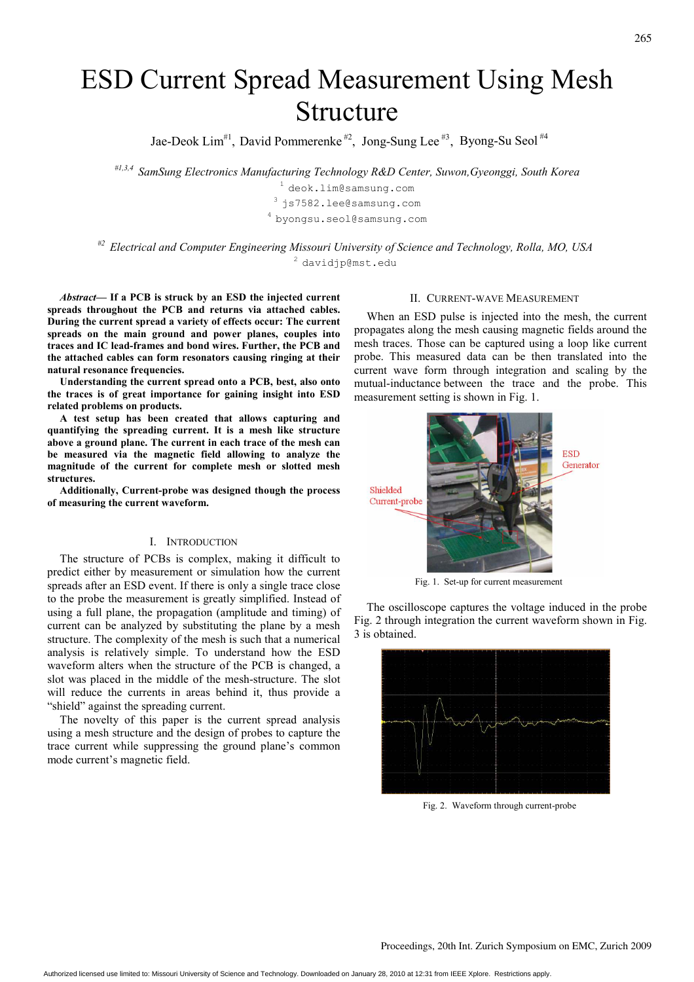# ESD Current Spread Measurement Using Mesh Structure

Jae-Deok Lim<sup>#1</sup>, David Pommerenke<sup>#2</sup>, Jong-Sung Lee<sup>#3</sup>, Byong-Su Seol<sup>#4</sup>

#1,3,4 SamSung Electronics Manufacturing Technology R&D Center, Suwon,Gyeonggi, South Korea

<sup>1</sup> deok.lim@samsung.com  $3$  js7582.lee@samsung.com <sup>4</sup>byongsu.seol@samsung.com

 $#$ <sup>2</sup> Electrical and Computer Engineering Missouri University of Science and Technology, Rolla, MO, USA <sup>2</sup> davidjp@mst.edu

Abstract— If a PCB is struck by an ESD the injected current spreads throughout the PCB and returns via attached cables. During the current spread a variety of effects occur: The current spreads on the main ground and power planes, couples into traces and IC lead-frames and bond wires. Further, the PCB and the attached cables can form resonators causing ringing at their natural resonance frequencies.

Understanding the current spread onto a PCB, best, also onto the traces is of great importance for gaining insight into ESD related problems on products.

A test setup has been created that allows capturing and quantifying the spreading current. It is a mesh like structure above a ground plane. The current in each trace of the mesh can be measured via the magnetic field allowing to analyze the magnitude of the current for complete mesh or slotted mesh structures.

Additionally, Current-probe was designed though the process of measuring the current waveform.

#### I. INTRODUCTION

The structure of PCBs is complex, making it difficult to predict either by measurement or simulation how the current spreads after an ESD event. If there is only a single trace close to the probe the measurement is greatly simplified. Instead of using a full plane, the propagation (amplitude and timing) of current can be analyzed by substituting the plane by a mesh structure. The complexity of the mesh is such that a numerical analysis is relatively simple. To understand how the ESD waveform alters when the structure of the PCB is changed, a slot was placed in the middle of the mesh-structure. The slot will reduce the currents in areas behind it, thus provide a "shield" against the spreading current.

The novelty of this paper is the current spread analysis using a mesh structure and the design of probes to capture the trace current while suppressing the ground plane's common mode current's magnetic field.

### II. CURRENT-WAVE MEASUREMENT

When an ESD pulse is injected into the mesh, the current propagates along the mesh causing magnetic fields around the mesh traces. Those can be captured using a loop like current probe. This measured data can be then translated into the current wave form through integration and scaling by the mutual-inductance between the trace and the probe. This measurement setting is shown in Fig. 1.



Fig. 1. Set-up for current measurement

The oscilloscope captures the voltage induced in the probe Fig. 2 through integration the current waveform shown in Fig. 3 is obtained.



Fig. 2. Waveform through current-probe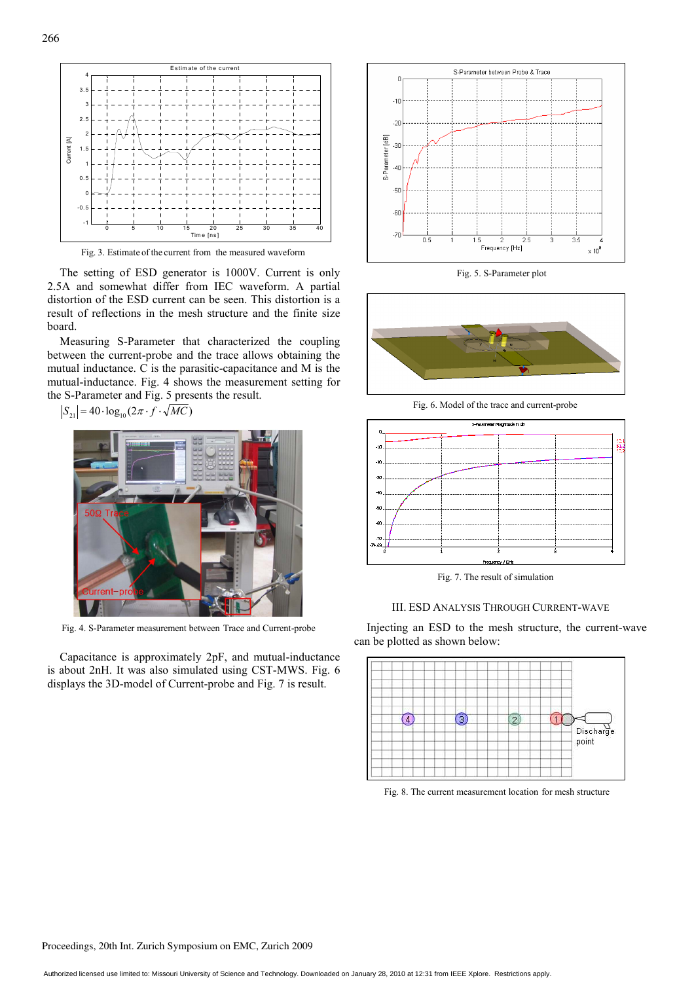

Fig. 3. Estimate of the current from the measured waveform

The setting of ESD generator is 1000V. Current is only 2.5A and somewhat differ from IEC waveform. A partial distortion of the ESD current can be seen. This distortion is a result of reflections in the mesh structure and the finite size board.

Measuring S-Parameter that characterized the coupling between the current-probe and the trace allows obtaining the mutual inductance. C is the parasitic-capacitance and M is the mutual-inductance. Fig. 4 shows the measurement setting for the S-Parameter and Fig. 5 presents the result.

 $S_{21}$  = 40 ·  $log_{10}(2\pi \cdot f \cdot \sqrt{MC})$ 



Fig. 4. S-Parameter measurement between Trace and Current-probe

Capacitance is approximately 2pF, and mutual-inductance is about 2nH. It was also simulated using CST-MWS. Fig. 6 displays the 3D-model of Current-probe and Fig. 7 is result.



Fig. 5. S-Parameter plot



Fig. 6. Model of the trace and current-probe



Fig. 7. The result of simulation

#### III. ESD ANALYSIS THROUGH CURRENT-WAVE

Injecting an ESD to the mesh structure, the current-wave can be plotted as shown below:



Fig. 8. The current measurement location for mesh structure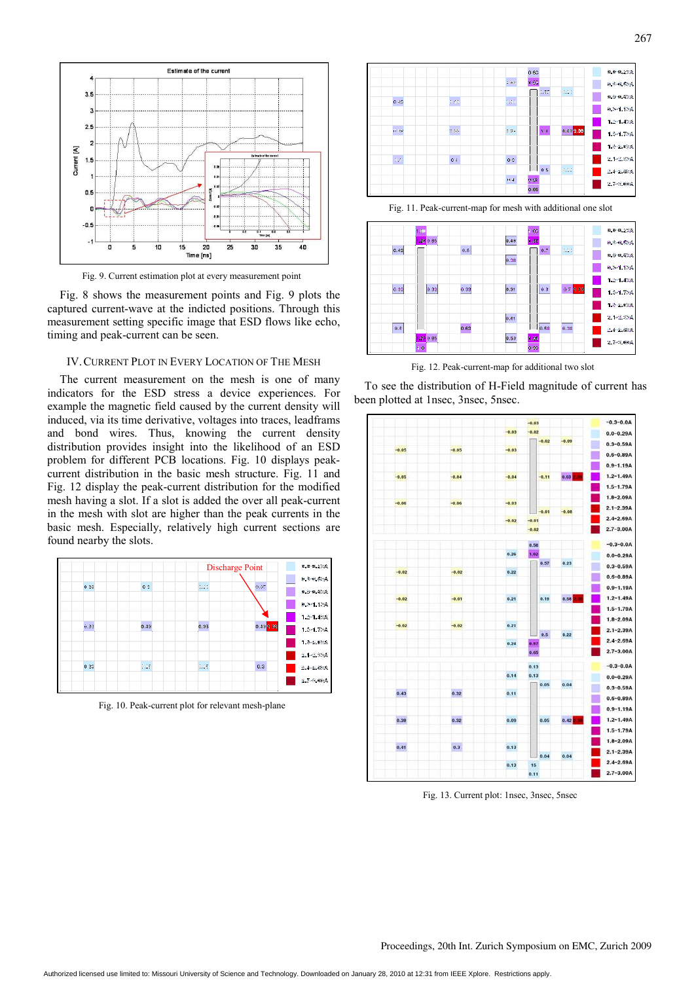

Fig. 9. Current estimation plot at every measurement point

Fig. 8 shows the measurement points and Fig. 9 plots the captured current-wave at the indicted positions. Through this measurement setting specific image that ESD flows like echo, timing and peak-current can be seen.

#### IV.CURRENT PLOT IN EVERY LOCATION OF THE MESH

The current measurement on the mesh is one of many indicators for the ESD stress a device experiences. For example the magnetic field caused by the current density will induced, via its time derivative, voltages into traces, leadframs and bond wires. Thus, knowing the current density distribution provides insight into the likelihood of an ESD problem for different PCB locations. Fig. 10 displays peakcurrent distribution in the basic mesh structure. Fig. 11 and Fig. 12 display the peak-current distribution for the modified mesh having a slot. If a slot is added the over all peak-current in the mesh with slot are higher than the peak currents in the basic mesh. Especially, relatively high current sections are found nearby the slots.



Fig. 10. Peak-current plot for relevant mesh-plane



Fig. 11. Peak-current-map for mesh with additional one slot



Fig. 12. Peak-current-map for additional two slot

To see the distribution of H-Field magnitude of current has been plotted at 1nsec, 3nsec, 5nsec.



Fig. 13. Current plot: 1nsec, 3nsec, 5nsec